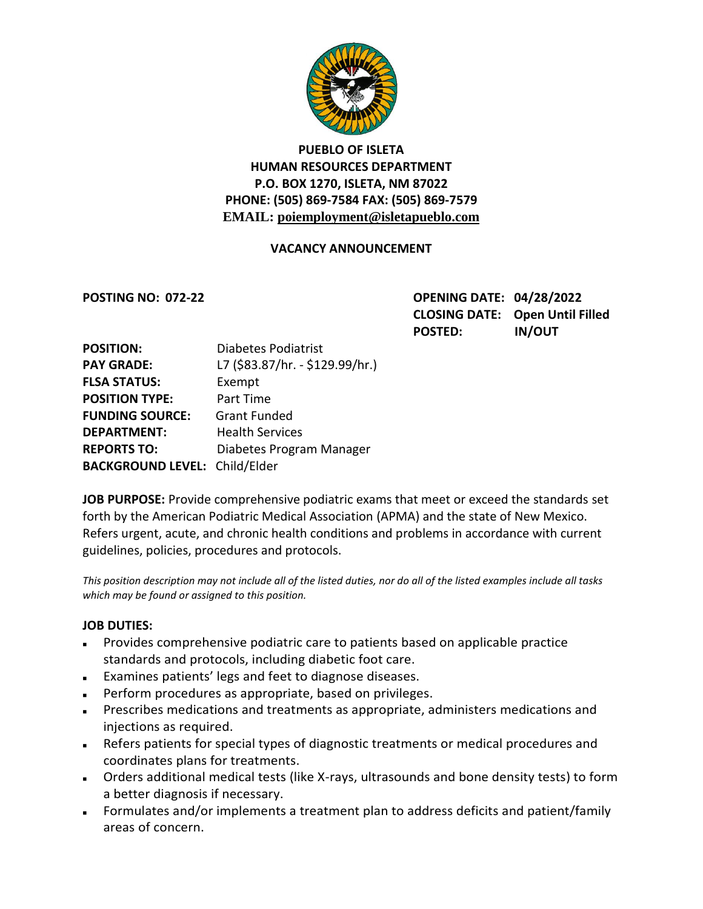

# **PUEBLO OF ISLETA HUMAN RESOURCES DEPARTMENT P.O. BOX 1270, ISLETA, NM 87022 PHONE: (505) 869-7584 FAX: (505) 869-7579 EMAIL: poiemployment@isletapueblo.com**

## **VACANCY ANNOUNCEMENT**

**POSTING NO: 072-22 OPENING DATE: 04/28/2022 CLOSING DATE: Open Until Filled POSTED: IN/OUT**

| <b>POSITION:</b>                     | <b>Diabetes Podiatrist</b>      |
|--------------------------------------|---------------------------------|
| <b>PAY GRADE:</b>                    | L7 (\$83.87/hr. - \$129.99/hr.) |
| <b>FLSA STATUS:</b>                  | Exempt                          |
| <b>POSITION TYPE:</b>                | Part Time                       |
| <b>FUNDING SOURCE:</b>               | <b>Grant Funded</b>             |
| <b>DEPARTMENT:</b>                   | <b>Health Services</b>          |
| <b>REPORTS TO:</b>                   | Diabetes Program Manager        |
| <b>BACKGROUND LEVEL: Child/Elder</b> |                                 |

**JOB PURPOSE:** Provide comprehensive podiatric exams that meet or exceed the standards set forth by the American Podiatric Medical Association (APMA) and the state of New Mexico. Refers urgent, acute, and chronic health conditions and problems in accordance with current guidelines, policies, procedures and protocols.

*This position description may not include all of the listed duties, nor do all of the listed examples include all tasks which may be found or assigned to this position.*

#### **JOB DUTIES:**

- Provides comprehensive podiatric care to patients based on applicable practice standards and protocols, including diabetic foot care.
- Examines patients' legs and feet to diagnose diseases.
- Perform procedures as appropriate, based on privileges.
- Prescribes medications and treatments as appropriate, administers medications and injections as required.
- Refers patients for special types of diagnostic treatments or medical procedures and coordinates plans for treatments.
- Orders additional medical tests (like X-rays, ultrasounds and bone density tests) to form a better diagnosis if necessary.
- Formulates and/or implements a treatment plan to address deficits and patient/family areas of concern.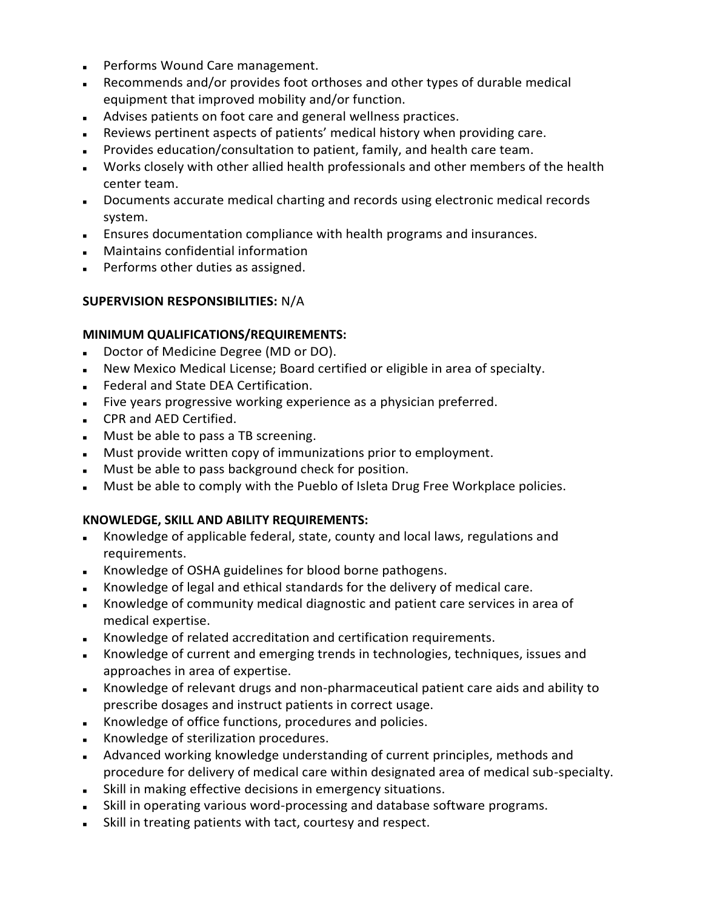- **Performs Wound Care management.**
- Recommends and/or provides foot orthoses and other types of durable medical equipment that improved mobility and/or function.
- Advises patients on foot care and general wellness practices.
- Reviews pertinent aspects of patients' medical history when providing care.
- Provides education/consultation to patient, family, and health care team.
- Works closely with other allied health professionals and other members of the health center team.
- Documents accurate medical charting and records using electronic medical records system.
- Ensures documentation compliance with health programs and insurances.
- Maintains confidential information
- **Performs other duties as assigned.**

#### **SUPERVISION RESPONSIBILITIES:** N/A

#### **MINIMUM QUALIFICATIONS/REQUIREMENTS:**

- Doctor of Medicine Degree (MD or DO).
- New Mexico Medical License; Board certified or eligible in area of specialty.
- **Federal and State DEA Certification.**
- Five years progressive working experience as a physician preferred.
- CPR and AED Certified.
- **Must be able to pass a TB screening.**
- Must provide written copy of immunizations prior to employment.
- **Must be able to pass background check for position.**
- Must be able to comply with the Pueblo of Isleta Drug Free Workplace policies.

#### **KNOWLEDGE, SKILL AND ABILITY REQUIREMENTS:**

- Knowledge of applicable federal, state, county and local laws, regulations and requirements.
- Knowledge of OSHA guidelines for blood borne pathogens.
- Knowledge of legal and ethical standards for the delivery of medical care.
- Knowledge of community medical diagnostic and patient care services in area of medical expertise.
- Knowledge of related accreditation and certification requirements.
- Knowledge of current and emerging trends in technologies, techniques, issues and approaches in area of expertise.
- Knowledge of relevant drugs and non-pharmaceutical patient care aids and ability to prescribe dosages and instruct patients in correct usage.
- Knowledge of office functions, procedures and policies.
- Knowledge of sterilization procedures.
- Advanced working knowledge understanding of current principles, methods and procedure for delivery of medical care within designated area of medical sub-specialty.
- Skill in making effective decisions in emergency situations.
- Skill in operating various word-processing and database software programs.
- Skill in treating patients with tact, courtesy and respect.